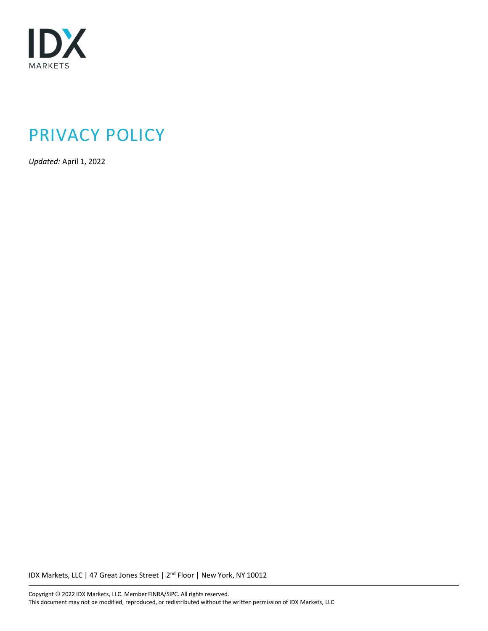

# PRIVACY POLICY

*Updated:* April 1, 2022

IDX Markets, LLC | 47 Great Jones Street | 2<sup>nd</sup> Floor | New York, NY 10012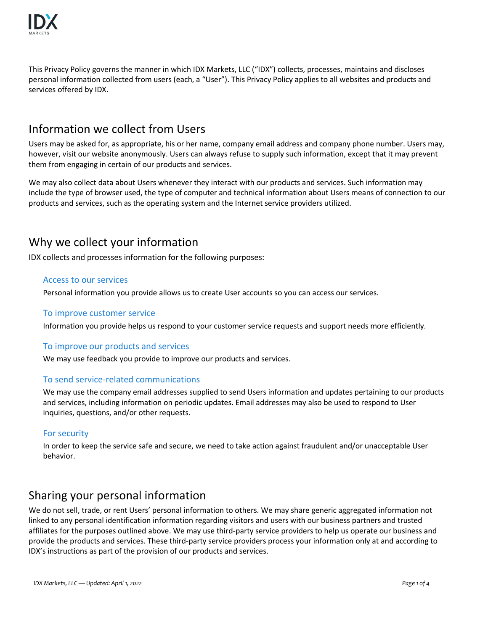

This Privacy Policy governs the manner in which IDX Markets, LLC ("IDX") collects, processes, maintains and discloses personal information collected from users (each, a "User"). This Privacy Policy applies to all websites and products and services offered by IDX.

### Information we collect from Users

Users may be asked for, as appropriate, his or her name, company email address and company phone number. Users may, however, visit our website anonymously. Users can always refuse to supply such information, except that it may prevent them from engaging in certain of our products and services.

We may also collect data about Users whenever they interact with our products and services. Such information may include the type of browser used, the type of computer and technical information about Users means of connection to our products and services, such as the operating system and the Internet service providers utilized.

## Why we collect your information

IDX collects and processes information for the following purposes:

#### Access to our services

Personal information you provide allows us to create User accounts so you can access our services.

#### To improve customer service

Information you provide helps us respond to your customer service requests and support needs more efficiently.

#### To improve our products and services

We may use feedback you provide to improve our products and services.

#### To send service-related communications

We may use the company email addresses supplied to send Users information and updates pertaining to our products and services, including information on periodic updates. Email addresses may also be used to respond to User inquiries, questions, and/or other requests.

#### For security

In order to keep the service safe and secure, we need to take action against fraudulent and/or unacceptable User behavior.

### Sharing your personal information

We do not sell, trade, or rent Users' personal information to others. We may share generic aggregated information not linked to any personal identification information regarding visitors and users with our business partners and trusted affiliates for the purposes outlined above. We may use third-party service providers to help us operate our business and provide the products and services. These third-party service providers process your information only at and according to IDX's instructions as part of the provision of our products and services.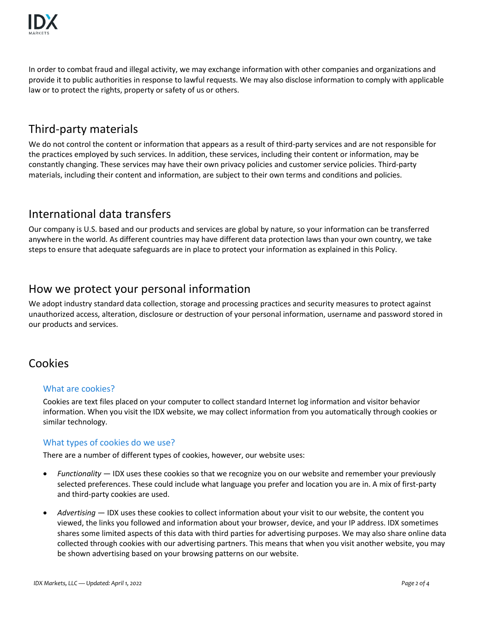

In order to combat fraud and illegal activity, we may exchange information with other companies and organizations and provide it to public authorities in response to lawful requests. We may also disclose information to comply with applicable law or to protect the rights, property or safety of us or others.

## Third-party materials

We do not control the content or information that appears as a result of third-party services and are not responsible for the practices employed by such services. In addition, these services, including their content or information, may be constantly changing. These services may have their own privacy policies and customer service policies. Third-party materials, including their content and information, are subject to their own terms and conditions and policies.

# International data transfers

Our company is U.S. based and our products and services are global by nature, so your information can be transferred anywhere in the world. As different countries may have different data protection laws than your own country, we take steps to ensure that adequate safeguards are in place to protect your information as explained in this Policy.

## How we protect your personal information

We adopt industry standard data collection, storage and processing practices and security measures to protect against unauthorized access, alteration, disclosure or destruction of your personal information, username and password stored in our products and services.

### Cookies

#### What are cookies?

Cookies are text files placed on your computer to collect standard Internet log information and visitor behavior information. When you visit the IDX website, we may collect information from you automatically through cookies or similar technology.

#### What types of cookies do we use?

There are a number of different types of cookies, however, our website uses:

- *Functionality* IDX uses these cookies so that we recognize you on our website and remember your previously selected preferences. These could include what language you prefer and location you are in. A mix of first-party and third-party cookies are used.
- *Advertising* IDX uses these cookies to collect information about your visit to our website, the content you viewed, the links you followed and information about your browser, device, and your IP address. IDX sometimes shares some limited aspects of this data with third parties for advertising purposes. We may also share online data collected through cookies with our advertising partners. This means that when you visit another website, you may be shown advertising based on your browsing patterns on our website.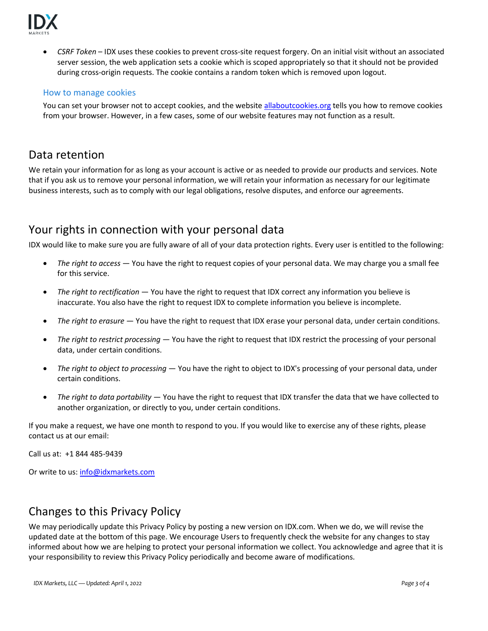

 *CSRF Token* – IDX uses these cookies to prevent cross-site request forgery. On an initial visit without an associated server session, the web application sets a cookie which is scoped appropriately so that it should not be provided during cross-origin requests. The cookie contains a random token which is removed upon logout.

#### How to manage cookies

You can set your browser not to accept cookies, and the websit[e allaboutcookies.org](http://allaboutcookies.org/) tells you how to remove cookies from your browser. However, in a few cases, some of our website features may not function as a result.

### Data retention

We retain your information for as long as your account is active or as needed to provide our products and services. Note that if you ask us to remove your personal information, we will retain your information as necessary for our legitimate business interests, such as to comply with our legal obligations, resolve disputes, and enforce our agreements.

### Your rights in connection with your personal data

IDX would like to make sure you are fully aware of all of your data protection rights. Every user is entitled to the following:

- *The right to access* You have the right to request copies of your personal data. We may charge you a small fee for this service.
- *The right to rectification* You have the right to request that IDX correct any information you believe is inaccurate. You also have the right to request IDX to complete information you believe is incomplete.
- *The right to erasure* You have the right to request that IDX erase your personal data, under certain conditions.
- *The right to restrict processing* You have the right to request that IDX restrict the processing of your personal data, under certain conditions.
- *The right to object to processing* You have the right to object to IDX's processing of your personal data, under certain conditions.
- *The right to data portability* You have the right to request that IDX transfer the data that we have collected to another organization, or directly to you, under certain conditions.

If you make a request, we have one month to respond to you. If you would like to exercise any of these rights, please contact us at our email:

Call us at: +1 844 485-9439

Or write to us: [info@idxmarkets.com](mailto:info@idxmarkets.com)

## Changes to this Privacy Policy

We may periodically update this Privacy Policy by posting a new version on IDX.com. When we do, we will revise the updated date at the bottom of this page. We encourage Users to frequently check the website for any changes to stay informed about how we are helping to protect your personal information we collect. You acknowledge and agree that it is your responsibility to review this Privacy Policy periodically and become aware of modifications.